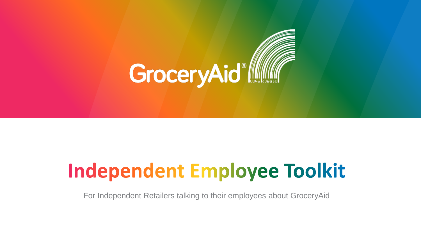

# **Independent Employee Toolkit**

For Independent Retailers talking to their employees about GroceryAid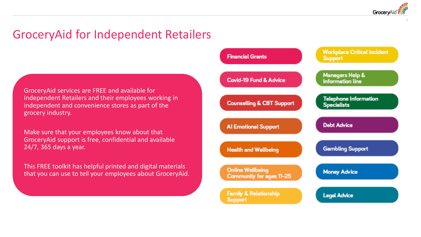Grocery/

2

# GroceryAid for Independent Retailers

GroceryAid services are FREE and available for Independent Retailers and their employees working in independent and convenience stores as part of the grocery industry.

Make sure that your employees know about that GroceryAid support is free, confidential and available 24/7, 365 days a year.

This FREE toolkit has helpful printed and digital materials that you can use to tell your employees about GroceryAid.

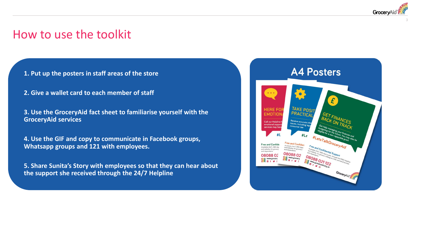

## How to use the toolkit

**1. Put up the posters in staff areas of the store** 

- **2. Give a wallet card to each member of staff**
- **3. Use the GroceryAid fact sheet to familiarise yourself with the GroceryAid services**

**4. Use the GIF and copy to communicate in Facebook groups, Whatsapp groups and 121 with employees.** 

**5. Share Sunita's Story with employees so that they can hear about the support she received through the 24/7 Helpline**

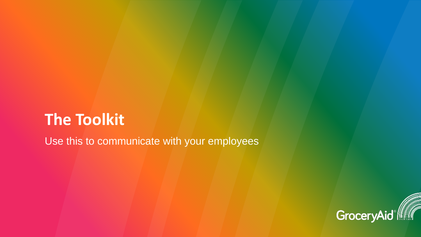# **The Toolkit**

Use this to communicate with your employees

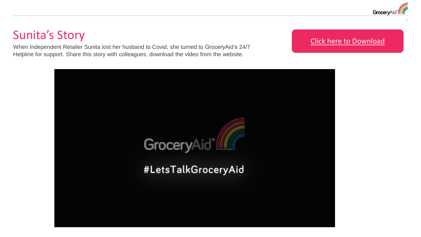

# Sunita's Story

When Independent Retailer Sunita lost her husband to Covid, she turned to GroceryAid's 24/7 Helpline for support. Share this story with colleagues, download the video from the website.

### [Click here to Download](https://www.groceryaid.org.uk/get-involved/independent-retailers/)

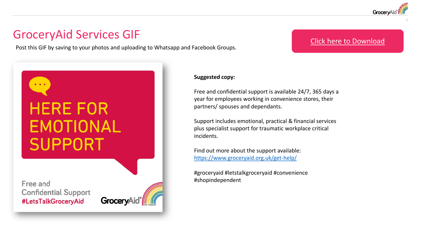

# GroceryAid Services GIF

Post this GIF by saving to your photos and uploading to Whatsapp and Facebook Groups.

### [Click here to Download](https://www.groceryaid.org.uk/get-involved/independent-retailers/)

# **HERE FOR** EMOTIONAL **SUPPORT**

Free and **Confidential Support** #LetsTalkGroceryAid



#### **Suggested copy:**

Free and confidential support is available 24/7, 365 days a year for employees working in convenience stores, their partners/ spouses and dependants.

Support includes emotional, practical & financial services plus specialist support for traumatic workplace critical incidents.

Find out more about the support available: <https://www.groceryaid.org.uk/get-help/>

#groceryaid #letstalkgroceryaid #convenience #shopindependent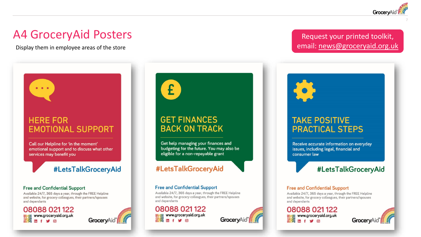

## A4 GroceryAid Posters

Display them in employee areas of the store

## **HERE FOR EMOTIONAL SUPPORT**

Call our Helpline for 'in the moment' emotional support and to discuss what other services may benefit you

#LetsTalkGroceryAid

#### **Free and Confidential Support**

Available 24/7, 365 days a year, through the FREE Helpline and website, for grocery colleagues, their partners/spouses and dependants

08088 021 122 



## Request your printed toolkit, email: [news@groceryaid.org.uk](mailto:news@groceryaid.org.uk?subject=Independent%20Retailer%20Employee%20Toolkit%20request)



## **TAKE POSITIVE PRACTICAL STEPS**

Receive accurate information on everyday issues, including legal, financial and consumer law

## #LetsTalkGroceryAid

#### **Free and Confidential Support**

Available 24/7, 365 days a year, through the FREE Helpline and website, for grocery colleagues, their partners/spouses and dependants

## 08088 021 122 **Dig** www.groceryaid.org.uk

GroceryAi

**GET FINANCES BACK ON TRACK** 

£

Get help managing your finances and budgeting for the future. You may also be eligible for a non-repayable grant

## #LetsTalkGroceryAid

#### **Free and Confidential Support**

Available 24/7, 365 days a year, through the FREE Helpline and website, for grocery colleagues, their partners/spouses and dependants

GroceryAid

08088 021 122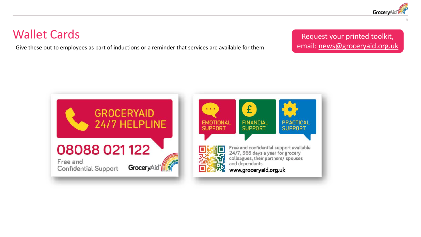

# Wallet Cards

Give these out to employees as part of inductions or a reminder that services are available for them

Request your printed toolkit, email: [news@groceryaid.org.uk](mailto:news@groceryaid.org.uk?subject=Independent%20Retailer%20Employee%20Toolkit%20request)

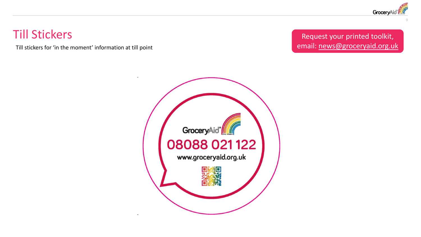

# Till Stickers

Till stickers for 'in the moment' information at till point

Request your printed toolkit, email: [news@groceryaid.org.uk](mailto:news@groceryaid.org.uk?subject=Independent%20Retailer%20Employee%20Toolkit%20request)